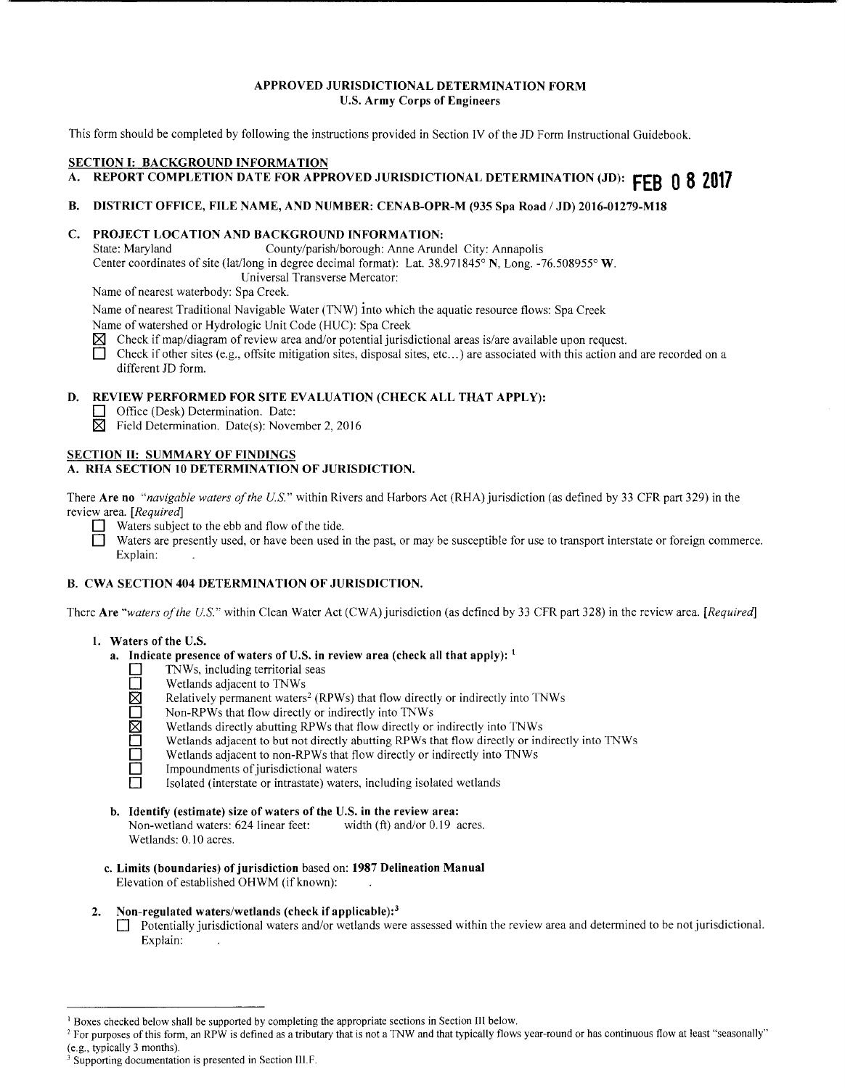## **APPROVED JURISDICTIONAL DETERMINATION FORM U.S. Army Corps of Engineers**

This form should be completed by following the instructions provided in Section IV of the JD Form Instructional Guidebook.

## **SECTION I: BACKGROUND INFORMATION**

# **A. REPORT COMPLETION DATE FOR APPROVED JURISDICTIONAL DETERMINATION (JD): FEB 0 8 2017**

## **B. DISTRICT OFFICE, FILE NAME, AND NUMBER: CENAB-OPR-M (935 Spa Road I JD) 2016-01279-MlS**

# **C. PROJECT LOCATION AND BACKGROUND INFORMATION:**<br>
State: Maryland County/parish/borough: Anne Aruno

County/parish/borough: Anne Arundel City: Annapolis Center coordinates of site (lat/long in degree decimal format): Lat. 38.971845° **N,** Long. -76.508955° **W.**  Universal Transverse Mercator:

Name of nearest waterbody: Spa Creek.

Name of nearest Traditional Navigable Water (TNW) into which the aquatic resource flows: Spa Creek

Name of watershed or Hydrologic Unit Code (HUC): Spa Creek

- **[8J** Check if map/diagram of review area and/or potential jurisdictional areas is/are available upon request.
- Check if other sites (e.g., offsite mitigation sites, disposal sites, etc...) are associated with this action and are recorded on a different JD form.

## **D. REVIEW PERFORMED FOR SITE EVALUATION (CHECK ALL THAT APPLY):**

- **D** Office (Desk) Determination. Date:
- $\boxtimes$  Field Determination. Date(s): November 2, 2016

## **SECTION II: SUMMARY OF FINDINGS A. RHA SECTION 10 DETERMINATION OF JURISDICTION.**

There **Are no** *"navigable waters of the U.S."* within Rivers and Harbors Act (RHA) jurisdiction (as defined by 33 CFR part 329) in the review area. *[Required]* 

- $\Box$  Waters subject to the ebb and flow of the tide.
- **D** Waters are presently used, or have been used in the past, or may be susceptible for use to transport interstate or foreign commerce. Explain:

# **B. CWA SECTION 404 DETERMINATION OF JURISDICTION.**

There **Are** *''waters of the U.S."* within Clean Water Act (CWA) jurisdiction (as defined by 33 CFR part 328) in the review area. *[Required]* 

## **1. Waters of the U.S.**

- **a. Indicate presence of waters of U.S. in review area (check all that apply):** <sup>1</sup>
	-
	- Wetlands adjacent to TNWs
	- TNWs, including territorial seas<br>
	Wetlands adjacent to TNWs<br>
	Relatively permanent waters<sup>2</sup> (R<br>
	Non-RPWs that flow directly or<br>
	Wetlands dijacent to but not dire<br>
	Wetlands adjacent to non-RPWs Relatively permanent waters<sup>2</sup> (RPWs) that flow directly or indirectly into TNWs
		- Non-RPWs that flow directly or indirectly into TNWs
		- Wetlands directly abutting RPWs that flow directly or indirectly into TNWs
		- Wetlands adjacent to but not directly abutting RPWs that flow directly or indirectly into TNWs
		- Wetlands adjacent to non-RPWs that flow directly or indirectly into TNWs
		- Impoundments of jurisdictional waters
		- Isolated (interstate or intrastate) waters, including isolated wetlands
- **b. Identify (estimate) size of waters of the U.S. in the review area:** Non-wetland waters: 624 linear feet: width (ft) and/or 0.19 acres. Non-wetland waters: 624 linear feet: Wetlands: 0.10 acres.
- **c. Limits (boundaries) of jurisdiction** based on: **1987 Delineation Manual**  Elevation of established OHWM (if known):

## **2. Non-regulated waters/wetlands (check if applicable): <sup>3</sup>**

**D** Potentially jurisdictional waters and/or wetlands were assessed within the review area and determined to be not jurisdictional. Explain:

<sup>&</sup>lt;sup>1</sup> Boxes checked below shall be supported by completing the appropriate sections in Section III below.<br><sup>2</sup> For purposes of this form, an RPW is defined as a tributary that is not a TNW and that typically flows year-round

Supporting documentation is presented in Section III.F.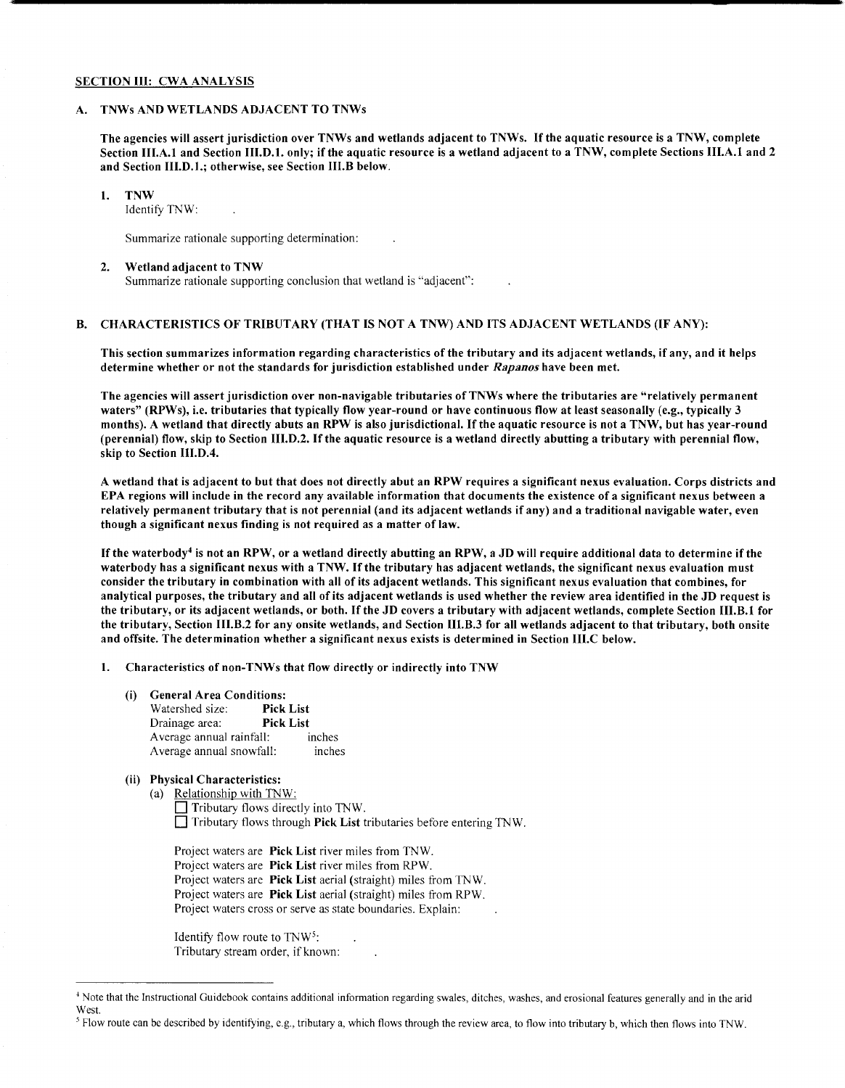#### SECTION III: CWA ANALYSIS

#### A. TNWs AND WETLANDS ADJACENT TO TNWs

The agencies will assert jurisdiction over TNWs and wetlands adjacent to TNWs. If the aquatic resource is a TNW, complete Section III.A.1 and Section III.D.1. only; if the aquatic resource is a wetland adjacent to a TNW, complete Sections III.A.1 and 2 and Section lll.D.1.; otherwise, see Section lll.B below.

## 1. TNW

Identify TNW:

Summarize rationale supporting determination:

#### 2. Wetland adjacent to TNW

Summarize rationale supporting conclusion that wetland is "adjacent":

#### B. CHARACTERISTICS OF TRIBUTARY (THAT IS NOT A TNW) AND ITS ADJACENT WETLANDS (IF ANY):

This section summarizes information regarding characteristics of the tributary and its adjacent wetlands, if any, and it helps determine whether or not the standards for jurisdiction established under *Rapanos* have been met.

The agencies will assert jurisdiction over non-navigable tributaries ofTNWs where the tributaries are "relatively permanent waters" (RPWs), i.e. tributaries that typically flow year-round or have continuous flow at least seasonally (e.g., typically 3 months). A wetland that directly abuts an RPW is also jurisdictional. If the aquatic resource is not a TNW, but has year-round (perennial) flow, skip to Section 111.D.2. If the aquatic resource is a wetland directly abutting a tributary with perennial flow, skip to Section Ill.D.4.

A wetland that is adjacent to but that does not directly abut an RPW requires a significant nexus evaluation. Corps districts and EPA regions will include in the record any available information that documents the existence of a significant nexus between a relatively permanent tributary that is not perennial (and its adjacent wetlands if any) and a traditional navigable water, even though a significant nexus finding is not required as a matter of law.

If the waterbody<sup>4</sup> is not an RPW, or a wetland directly abutting an RPW, a JD will require additional data to determine if the waterbody has a significant nexus with a TNW. If the tributary has adjacent wetlands, the significant nexus evaluation must consider the tributary in combination with all of its adjacent wetlands. This significant nexus evaluation that combines, for analytical purposes, the tributary and all of its adjacent wetlands is used whether the review area identified in the JD request is the tributary, or its adjacent wetlands, or both. If the JD covers a tributary with adjacent wetlands, complete Section 111.B.1 for the tributary, Section 111.B.2 for any onsite wetlands, and Section 111.B.3 for all wetlands adjacent to that tributary, both onsite and offsite. The determination whether a significant nexus exists is determined in Section 111.C below.

1. Characteristics of non-TNWs that flow directly or indirectly into TNW

(i) General Area Conditions:

Watershed size: Pick List Drainage area: Pick List Average annual rainfall: inches Average annual snowfall: inches

#### (ii) Physical Characteristics:

(a) Relationship with TNW:  $\Box$  Tributary flows directly into TNW.  $\Box$  Tributary flows through Pick List tributaries before entering TNW.

Project waters are Pick List river miles from TNW. Project waters are Pick List river miles from RPW. Project waters are Pick List aerial (straight) miles from TNW. Project waters are Pick List aerial (straight) miles from RPW. Project waters cross or serve as state boundaries. Explain:

Identify flow route to TNW<sup>5</sup>: Tributary stream order, if known:

<sup>&</sup>lt;sup>4</sup> Note that the Instructional Guidebook contains additional information regarding swales, ditches, washes, and erosional features generally and in the arid West.

<sup>&</sup>lt;sup>5</sup> Flow route can be described by identifying, e.g., tributary a, which flows through the review area, to flow into tributary b, which then flows into TNW.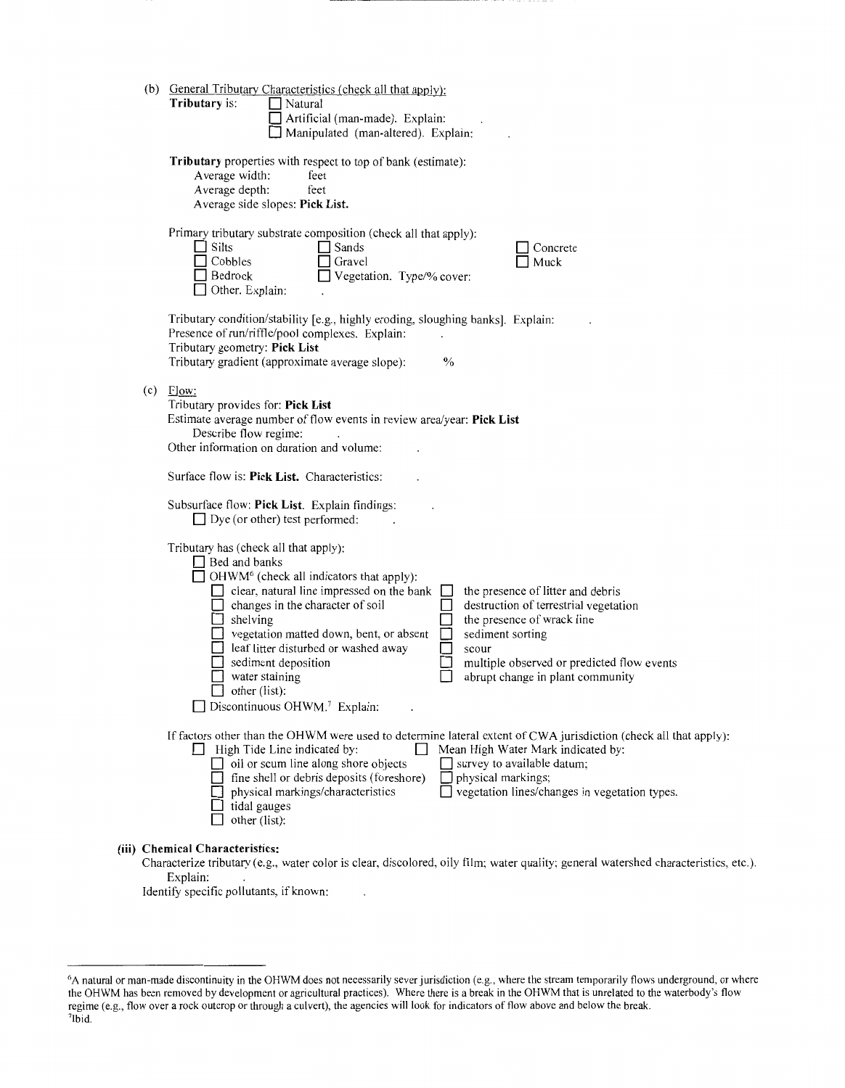| (b) General Tributary Characteristics (check all that apply):<br>Tributary is:<br>Natural<br>Artificial (man-made). Explain:<br>Manipulated (man-altered). Explain:                                                                                                                                                                                                                                                                                                                                                                                                                                                                            |
|------------------------------------------------------------------------------------------------------------------------------------------------------------------------------------------------------------------------------------------------------------------------------------------------------------------------------------------------------------------------------------------------------------------------------------------------------------------------------------------------------------------------------------------------------------------------------------------------------------------------------------------------|
| Tributary properties with respect to top of bank (estimate):<br>Average width:<br>feet<br>Average depth:<br>feet<br>Average side slopes: Pick List.                                                                                                                                                                                                                                                                                                                                                                                                                                                                                            |
| Primary tributary substrate composition (check all that apply):<br>Silts<br>Sands<br>Concrete<br>Cobbles<br>Gravel<br>Muck<br>Vegetation. Type/% cover:<br>Bedrock<br>Other. Explain:                                                                                                                                                                                                                                                                                                                                                                                                                                                          |
| Tributary condition/stability [e.g., highly eroding, sloughing banks]. Explain:<br>Presence of run/riffle/pool complexes. Explain:<br>Tributary geometry: Pick List<br>Tributary gradient (approximate average slope):<br>$\frac{0}{0}$                                                                                                                                                                                                                                                                                                                                                                                                        |
| $(c)$ Flow:<br>Tributary provides for: Pick List<br>Estimate average number of flow events in review area/year: Pick List<br>Describe flow regime:<br>Other information on duration and volume:                                                                                                                                                                                                                                                                                                                                                                                                                                                |
| Surface flow is: Pick List. Characteristics:                                                                                                                                                                                                                                                                                                                                                                                                                                                                                                                                                                                                   |
| Subsurface flow: Pick List. Explain findings:<br>$\Box$ Dye (or other) test performed:                                                                                                                                                                                                                                                                                                                                                                                                                                                                                                                                                         |
| Tributary has (check all that apply):<br>$\Box$ Bed and banks<br>$\Box$ OHWM <sup>6</sup> (check all indicators that apply):<br>clear, natural line impressed on the bank<br>the presence of litter and debris<br>changes in the character of soil<br>destruction of terrestrial vegetation<br>shelving<br>the presence of wrack line<br>vegetation matted down, bent, or absent<br>sediment sorting<br>leaf litter disturbed or washed away<br>scour<br>sediment deposition<br>multiple observed or predicted flow events<br>water staining<br>abrupt change in plant community<br>other (list):<br>Discontinuous OHWM. <sup>7</sup> Explain: |
| If factors other than the OHWM were used to determine lateral extent of CWA jurisdiction (check all that apply):<br>High Tide Line indicated by:<br>Mean High Water Mark indicated by:<br>oil or scum line along shore objects<br>$\Box$ survey to available datum;<br>fine shell or debris deposits (foreshore)<br>physical markings;<br>physical markings/characteristics<br>vegetation lines/changes in vegetation types.<br>tidal gauges<br>other (list):                                                                                                                                                                                  |
| (iii) Chemical Characteristics:<br>Characterize tributary (e.g., water color is clear, discolored, oily film; water quality; general watershed characteristics, $\epsilon$                                                                                                                                                                                                                                                                                                                                                                                                                                                                     |

Characterize tributary (e.g., water color is clear, discolored, oily film; water quality: general watershed characteristics, etc.). Explain:

Identify specific pollutants, if known:  $\sim 10$ 

<sup>6</sup> A natural or man-made discontinuity in the OHWM does not necessarily sever jurisdiction (e.g., where the stream temporarily flows underground, or where the OHWM has been removed by development or agricultural practices). Where there is a break in the OHWM that is unrelated to the waterbody's flow regime (e.g., flow over a rock outcrop or through a culvert), the agencies will look for indicators of flow above and below the break.<br><sup>7</sup>Ibid.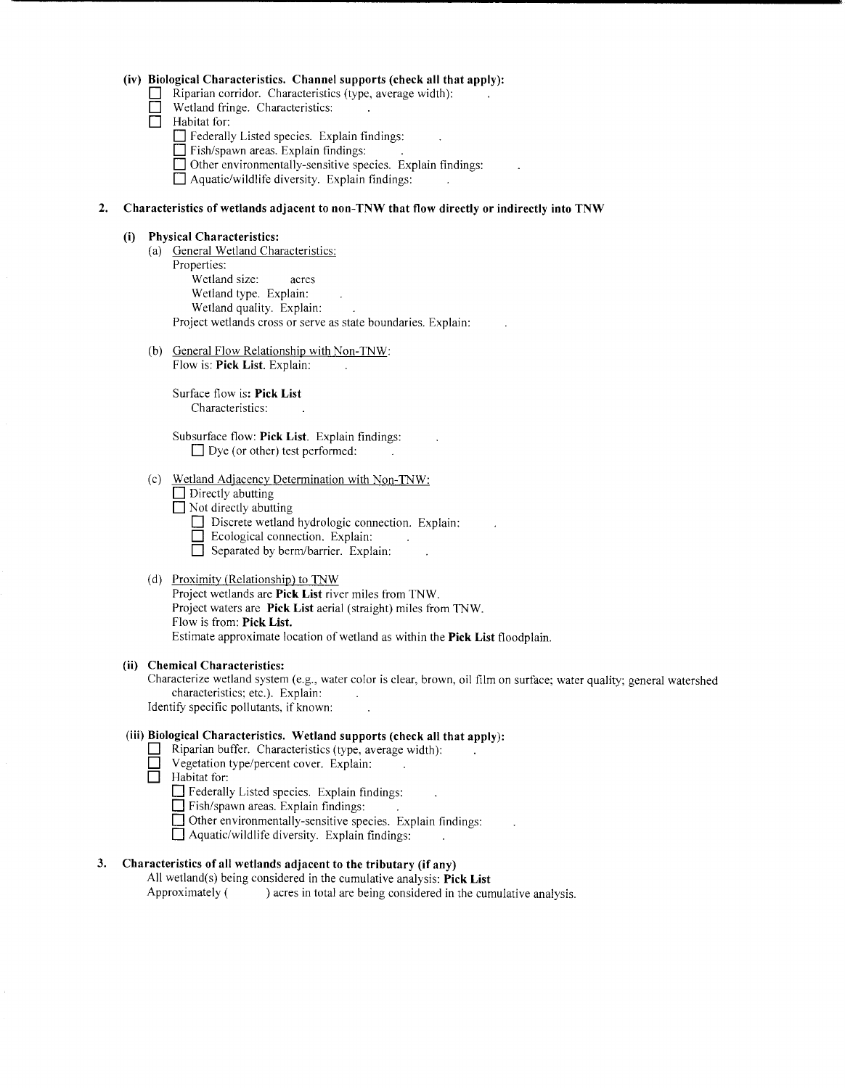## **(iv) Biological Characteristics. Channel supports (check all that apply):**

- D Riparian corridor. Characteristics (type, average width):
- D Wetland fringe. Characteristics:
- D Habitat for:
	- D Federally Listed species. Explain findings:
	- Fish/spawn areas. Explain findings:
	- **D** Other environmentally-sensitive species. Explain findings:
	- **D** Aquatic/wildlife diversity. Explain findings:

## **2. Characteristics of wetlands adjacent to non-TNW that flow directly or indirectly into TNW**

## **(i) Physical Characteristics:**

- (a) General Wetland Characteristics: Properties: Wetland size: acres Wetland type. Explain: Wetland quality. Explain: Project wetlands cross or serve as state boundaries. Explain:
- (b) General Flow Relationship with Non-TNW: Flow is: **Pick List.** Explain:

Surface flow is: **Pick List**  Characteristics:

Subsurface flow: **Pick List.** Explain findings:  $\Box$  Dye (or other) test performed:

- (c) Wetland Adjacency Determination with Non-TNW:
	- □ Directly abutting
	- $\Box$  Not directly abutting
		- Discrete wetland hydrologic connection. Explain:
		- $\Box$  Ecological connection. Explain:
		- $\Box$  Separated by berm/barrier. Explain:

#### (d) Proximity (Relationship) to TNW

Project wetlands are **Pick List** river miles from TNW. Project waters are **Pick List** aerial (straight) miles from TNW. Flow is from: **Pick List.**  Estimate approximate location of wetland as within the **Pick List** floodplain.

## **(ii) Chemical Characteristics:**

Characterize wetland system (e.g., water color is clear, brown, oil film on surface; water quality; general watershed characteristics; etc.). Explain: Identify specific pollutants, if known:

# **(iii) Biological Characteristics. Wetland supports (check all that apply):**

- **D** Riparian buffer. Characteristics (type, average width):
	- Vegetation type/percent cover. Explain:
- Habitat for:

 $\Box$  Federally Listed species. Explain findings:

**D** Fish/spawn areas. Explain findings:

- □ Other environmentally-sensitive species. Explain findings:
- D Aquatic/wildlife diversity. Explain findings:

## **3. Characteristics of all wetlands adjacent to the tributary (if any)**

All wetland(s) being considered in the cumulative analysis: **Pick List** Approximately ( $\qquad$ ) acres in total are being considered in the cum ) acres in total are being considered in the cumulative analysis.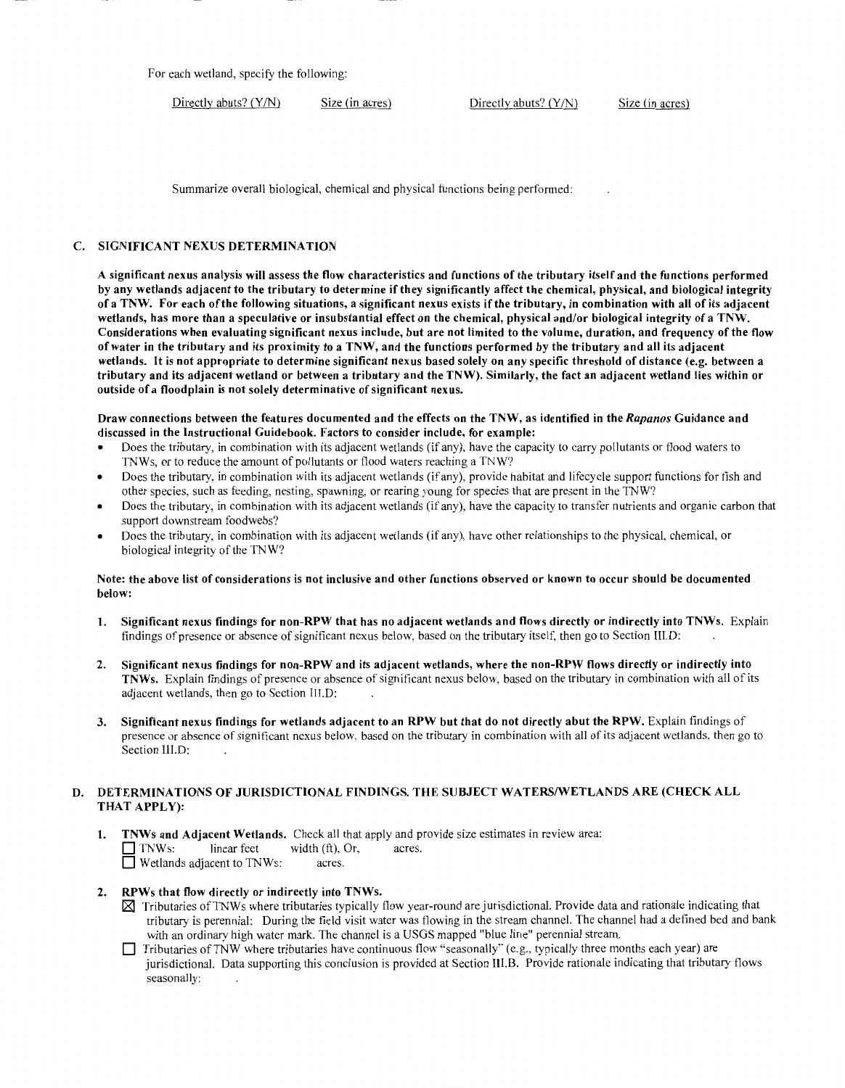For each wetland, specify the following:

Directly abuts? (Y/N) Size (in acres) Directly abuts? (Y/N) Size (in acres)

Summarize overall biological, chemical and physical functions being performed:

## C. SIGNIFICANT NEXUS DETERMINATION

A significant nexus analysis will assess the flow characteristics and functions of the tributary itself and the functions performed by any wetlands adjacent to the tributary to determine if they significantly affect the chemical, physical, and biological integrity of a TNW. For each of the following situations, a significant nexus exists ifthe tributary, in combination with all of its adjacent wetlands, has more than a speculative or insubstantial effect on the chemical, physical and/or biological integrity of a TNW. Considerations when evaluating significant nexus include, but are not limited to the volume, duration, and frequency of the flow of water in the tributary and its proximity to a TNW, and the functions performed by the tributary and all its adjacent wetlands. It is not appropriate to determine significant nexus based solely on any specific threshold of distance (e.g. between a tributary and its adjacent wetland or between a tributary and the TNW). Similarly, the fact an adjacent wetland lies within or outside of a floodplain is not solely determinative of significant nexus.

Draw connections between the features documented and the effects on the TNW, as identified in the *Rapanos* Guidance and discussed in the Instructional Guidebook. Factors to consider include, for example:

- Does the tributary, in combination with its adjacent wetlands (if any), have the capacity to carry pollutants or flood waters to TNWs, or to reduce the amount of pollutants or flood waters reaching a TNW?
- Does the tributary, in combination with its adjacent wetlands (if any), provide habitat and lifecycle support functions for fish and other species, such as feeding, nesting, spawning, or rearing young for species that are present in the TNW?
- Does the tributary, in combination with its adjacent wetlands (ifany), have the capacity to transfer nutrients and organic carbon that support downstream foodwebs?
- Does the tributary, in combination with its adjacent wetlands (if any), have other relationships to the physical, chemical, or biological integrity of the TNW?

#### Note: the above list of considerations is not inclusive and other functions observed or known to occur should be documented below:

- 1. Significant nexus findings for non-RPW that has no adjacent wetlands and flows directly or indirectly into TNWs. Explain findings of presence or absence of significant nexus below, based on the tributary itself, then go to Section III.D:
- 2. Significant nexus findings for non-RPW and its adjacent wetlands, where the non-RPW flows directly or indirectly into TNWs. Explain findings of presence or absence of significant nexus below, based on the tributary in combination with all of its adjacent wetlands, then go to Section III.D:
- 3. Significant nexus findings for wetlands adjacent to an RPW but that do not directly abut the RPW. Explain findings of presence or absence of significant nexus below, based on the tributary in combination with all of its adjacent wetlands, then go to Section III.D:

## D. DETERMINATIONS OF JURISDICTIONAL FINDINGS. THE SUBJECT WATERS/WETLANDS ARE (CHECK ALL THAT APPLY):

1. TNWs and Adjacent Wetlands. Check all that apply and provide size estimates in review area:  $\Box$  TNWs: linear feet width (ft), Or, acres. □ Wetlands adjacent to TNWs: acres.

## 2. RPWs that flow directly or indirectly into TNWs.

- $\boxtimes$  Tributaries of TNWs where tributaries typically flow year-round are jurisdictional. Provide data and rationale indicating that tributary is perennial: During the field visit water was flowing in the stream channel. The channel had a defined bed and bank with an ordinary high water mark. The channel is a USGS mapped "blue line" perennial stream.
- D Tributaries ofTNW where tributaries have continuous flow "seasonally" (e.g., typically three months each year) are jurisdictional. Data supporting this conclusion is provided at Section Ill.B. Provide rationale indicating that tributary flows seasonally: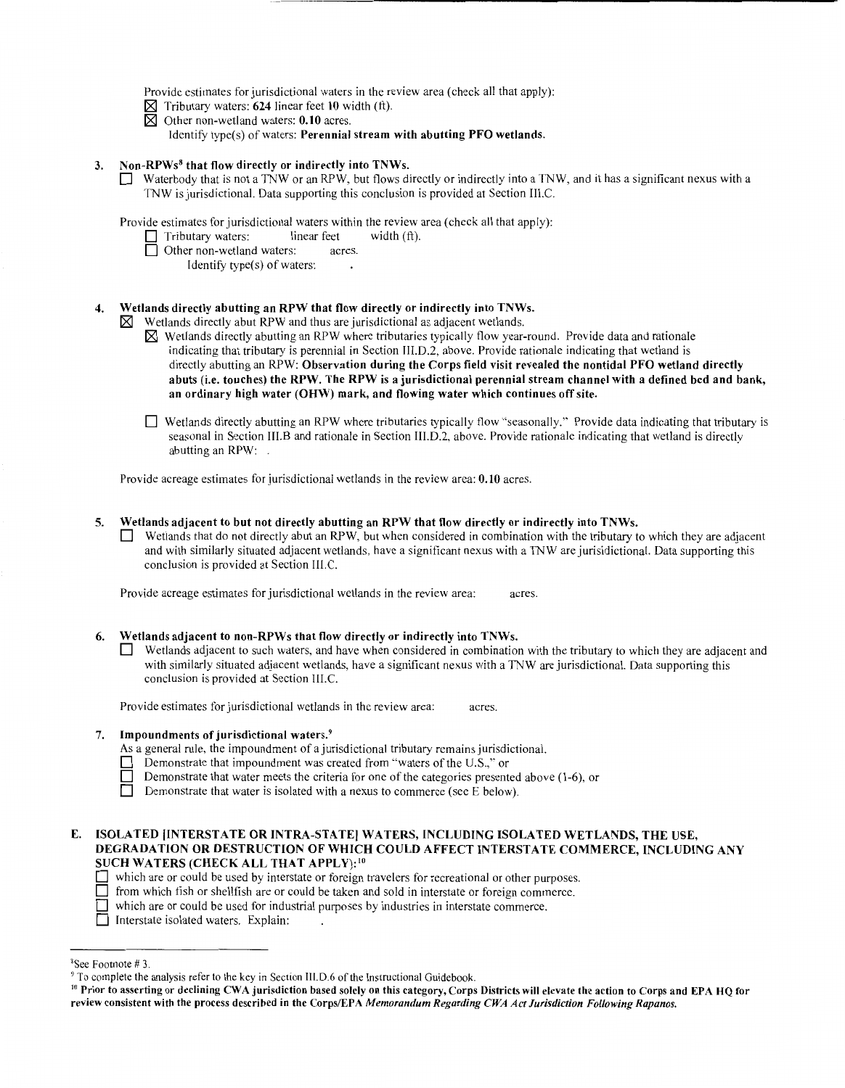Provide estimates for jurisdictional waters in the review area (check all that apply):

- $\boxtimes$  Tributary waters: 624 linear feet 10 width (ft).
- $\boxtimes$  Other non-wetland waters: 0.10 acres.
	- Identify type(s) of waters: Perennial stream with abutting PFO wetlands.

## 3. Non-RPWs<sup>8</sup> that flow directly or indirectly into TNWs.

 $\Box$  Waterbody that is not a TNW or an RPW, but flows directly or indirectly into a TNW, and it has a significant nexus with a TNW is jurisdictional. Data supporting this conclusion is provided at Section III.C.

Provide estimates for jurisdictional waters within the review area (check all that apply):

- $\Box$  Tributary waters: linear feet width (ft).
- □ Other non-wetland waters: acres.
	- Identify type(s) of waters:

## 4. Wetlands directly abutting an RPW that flow directly or indirectly into TNWs.

 $\boxtimes$  Wetlands directly abut RPW and thus are jurisdictional as adjacent wetlands.

- $\boxtimes$  Wetlands directly abutting an RPW where tributaries typically flow year-round. Provide data and rationale indicating that tributary is perennial in Section III.D.2, above. Provide rationale indicating that wetland is directly abutting an RPW: Observation during the Corps field visit revealed the nontidal PFO wetland directly abuts (i.e. touches) the RPW. The RPW is a jurisdictional perennial stream channel with a defined bed and bank, an ordinary high water (OHW) mark, and flowing water which continues off site.
- D Wetlands directly abutting an RPW where tributaries typically flow "seasonally.'' Provide data indicating that tributary is seasonal in Section III.B and rationale in Section III.D.2, above. Provide rationale indicating that wetland is directly abutting an RPW: .

Provide acreage estimates for jurisdictional wetlands in the review area: 0.10 acres.

## 5. Wetlands adjacent to but not directly abutting an RPW that flow directly or indirectly into TNWs.

Wetlands that do not directly abut an RPW, but when considered in combination with the tributary to which they are adjacent and with similarly situated adjacent wetlands, have a significant nexus with a TNW are jurisidictional. Data supporting this conclusion is provided at Section III.C.

Provide acreage estimates for jurisdictional wetlands in the review area: acres.

## 6. Wetlands adjacent to non-RPWs that flow directly or indirectly into TNWs.

Wetlands adjacent to such waters, and have when considered in combination with the tributary to which they are adjacent and with similarly situated adjacent wetlands, have a significant nexus with a TNW are jurisdictional. Data supporting this conclusion is provided at Section lll.C.

Provide estimates for jurisdictional wetlands in the review area: acres.

#### 7. Impoundments of jurisdictional waters.9

- As a general rule, the impoundment of a jurisdictional tributary remains jurisdictional.
- Demonstrate that impoundment was created from "waters of the U.S.," or
- Demonstrate that water meets the criteria for one of the categories presented above (1-6), or<br>Demonstrate that water is isolated with a nexus to commerce (see E below)

Demonstrate that water is isolated with a nexus to commerce (see E below).

## E. ISOLATED [INTERSTATE OR INTRA-STATE] WATERS, INCLUDING ISOLATED WETLANDS, THE USE, DEGRADATION OR DESTRUCTION OF WHICH COULD AFFECT INTERSTATE COMMERCE, INCLUDING ANY SUCH WATERS (CHECK ALL THAT APPLY): 10

- D which are or could be used by interstate or foreign travelers for recreational or other purposes.
- $\Box$  from which fish or shellfish are or could be taken and sold in interstate or foreign commerce.
- D which are or could be used for industrial purposes by industries in interstate commerce.
- D Interstate isolated waters. Explain:

<sup>&</sup>lt;sup>8</sup>See Footnote #3.

<sup>&</sup>lt;sup>9</sup> To complete the analysis refer to the key in Section III.D.6 of the Instructional Guidebook.<br><sup>10</sup> Prior to asserting or declining CWA jurisdiction based solely on this category, Corps Districts will elevate the action review consistent with the process described in the Corps/EPA *Memorandum Regarding CWA Act Jurisdiction Following Rapanos.*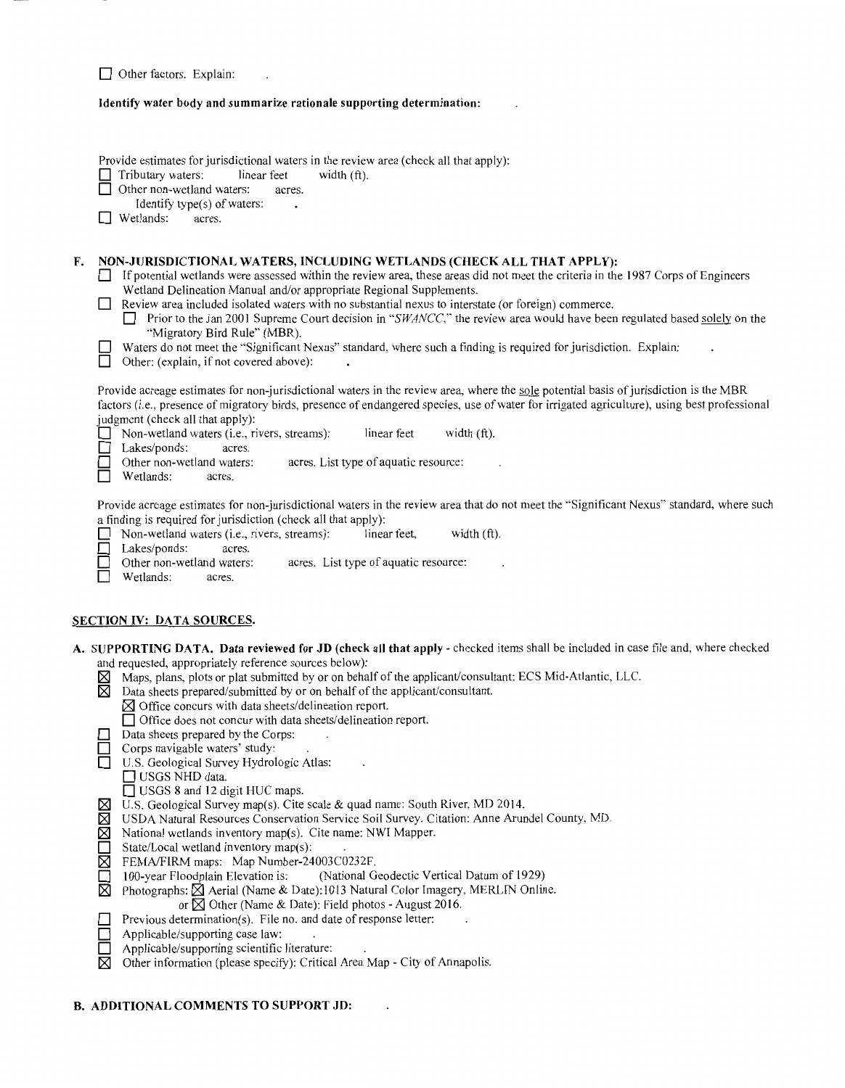Other factors. Explain:

# **Identify water body and summarize rationale supporting determination:**

 $\overline{a}$ 

|    | таениту water boay and summarize rationale supporting determination:                                                                                                                                                                                                                                                                                                                                                                                                                                                                                                                                                                                                                                              |  |
|----|-------------------------------------------------------------------------------------------------------------------------------------------------------------------------------------------------------------------------------------------------------------------------------------------------------------------------------------------------------------------------------------------------------------------------------------------------------------------------------------------------------------------------------------------------------------------------------------------------------------------------------------------------------------------------------------------------------------------|--|
|    | Provide estimates for jurisdictional waters in the review area (check all that apply):<br>Tributary waters:<br>linear feet<br>width (ft).<br>Other non-wetland waters:<br>acres.<br>Identify type(s) of waters:<br>Wetlands:<br>acres.                                                                                                                                                                                                                                                                                                                                                                                                                                                                            |  |
| F. | NON-JURISDICTIONAL WATERS, INCLUDING WETLANDS (CHECK ALL THAT APPLY):<br>If potential wetlands were assessed within the review area, these areas did not meet the criteria in the 1987 Corps of Engineers<br>Wetland Delineation Manual and/or appropriate Regional Supplements.<br>Review area included isolated waters with no substantial nexus to interstate (or foreign) commerce.<br>Prior to the Jan 2001 Supreme Court decision in "SWANCC," the review area would have been regulated based solely on the<br>"Migratory Bird Rule" (MBR).<br>Waters do not meet the "Significant Nexus" standard, where such a finding is required for jurisdiction. Explain:<br>Other: (explain, if not covered above): |  |
|    | Provide acreage estimates for non-jurisdictional waters in the review area, where the sole potential basis of jurisdiction is the MBR<br>factors (i.e., presence of migratory birds, presence of endangered species, use of water for irrigated agriculture), using best professional<br>judgment (check all that apply):<br>Non-wetland waters (i.e., rivers, streams):<br>linear feet<br>width (ft).<br>Lakes/ponds:<br>acres.<br>Other non-wetland waters:<br>acres. List type of aquatic resource:<br>Wetlands:<br>acres.                                                                                                                                                                                     |  |
|    | Provide acreage estimates for non-jurisdictional waters in the review area that do not meet the "Significant Nexus" standard, where such<br>a finding is required for jurisdiction (check all that apply):<br>Non-wetland waters (i.e., rivers, streams):<br>width (ft).<br>linear feet,<br>Lakes/ponds:<br>acres.<br>acres. List type of aquatic resource:<br>Other non-wetland waters:<br>Wetlands:<br>acres.                                                                                                                                                                                                                                                                                                   |  |
|    | <b>SECTION IV: DATA SOURCES.</b>                                                                                                                                                                                                                                                                                                                                                                                                                                                                                                                                                                                                                                                                                  |  |
|    | A. SUPPORTING DATA. Data reviewed for JD (check all that apply - checked items shall be included in case file and, where checked                                                                                                                                                                                                                                                                                                                                                                                                                                                                                                                                                                                  |  |
|    | and requested, appropriately reference sources below):<br>Maps, plans, plots or plat submitted by or on behalf of the applicant/consultant: ECS Mid-Atlantic, LLC.<br>⊠<br>X<br>Data sheets prepared/submitted by or on behalf of the applicant/consultant.<br>$\boxtimes$ Office concurs with data sheets/delineation report.                                                                                                                                                                                                                                                                                                                                                                                    |  |
|    | □ Office does not concur with data sheets/delineation report.<br>Data sheets prepared by the Corps:<br>Corps navigable waters' study:<br>U.S. Geological Survey Hydrologic Atlas:<br>USGS NHD data.                                                                                                                                                                                                                                                                                                                                                                                                                                                                                                               |  |
|    | USGS 8 and 12 digit HUC maps.<br>U.S. Geological Survey map(s). Cite scale & quad name: South River, MD 2014.<br>⊠<br>X<br>USDA Natural Resources Conservation Service Soil Survey. Citation: Anne Arundel County, MD.<br>Χ<br>National wetlands inventory map(s). Cite name: NWI Mapper.<br>State/Local wetland inventory map(s):                                                                                                                                                                                                                                                                                                                                                                                |  |

 $\mathcal{L}$ 

- $\boxtimes$  FEMA/FIRM maps: Map Number-24003C0232F.
- **D** 100-year Floodplain Elevation is: (National Geodectic Vertical Datum of 1929)
- $\boxtimes$  Photographs:  $\boxtimes$  Aerial (Name & Date): 1013 Natural Color Imagery, MERLIN Online.

 $\overline{a}$ 

- or  $\boxtimes$  Other (Name & Date): Field photos August 2016.
- **D** Previous determination(s). File no. and date of response letter:<br> **D** Applicable/supporting case law:<br> **D** Applicable/supporting scientific literature:
	- Applicable/supporting case law:
	- Applicable/supporting scientific literature:
- $\overline{\boxtimes}$  Other information (please specify): Critical Area Map City of Annapolis.

 $\ddot{\phantom{a}}$ 

## **B. ADDITIONAL COMMENTS TO SUPPORT JD:**